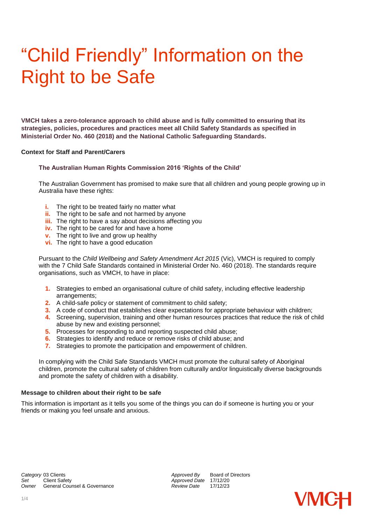# "Child Friendly" Information on the Right to be Safe

**VMCH takes a zero-tolerance approach to child abuse and is fully committed to ensuring that its strategies, policies, procedures and practices meet all Child Safety Standards as specified in Ministerial Order No. 460 (2018) and the National Catholic Safeguarding Standards.**

# **Context for Staff and Parent/Carers**

# **The Australian Human Rights Commission 2016 'Rights of the Child'**

The Australian Government has promised to make sure that all children and young people growing up in Australia have these rights:

- **i.** The right to be treated fairly no matter what
- **ii.** The right to be safe and not harmed by anyone
- **iii.** The right to have a say about decisions affecting you
- **iv.** The right to be cared for and have a home
- **v.** The right to live and grow up healthy
- **vi.** The right to have a good education

Pursuant to the *Child Wellbeing and Safety Amendment Act 2015* (Vic), VMCH is required to comply with the 7 Child Safe Standards contained in Ministerial Order No. 460 (2018). The standards require organisations, such as VMCH, to have in place:

- **1.** Strategies to embed an organisational culture of child safety, including effective leadership arrangements;
- **2.** A child-safe policy or statement of commitment to child safety;
- **3.** A code of conduct that establishes clear expectations for appropriate behaviour with children;
- **4.** Screening, supervision, training and other human resources practices that reduce the risk of child abuse by new and existing personnel;
- **5.** Processes for responding to and reporting suspected child abuse;
- **6.** Strategies to identify and reduce or remove risks of child abuse; and
- **7.** Strategies to promote the participation and empowerment of children.

In complying with the Child Safe Standards VMCH must promote the cultural safety of Aboriginal children, promote the cultural safety of children from culturally and/or linguistically diverse backgrounds and promote the safety of children with a disability.

# **Message to children about their right to be safe**

This information is important as it tells you some of the things you can do if someone is hurting you or your friends or making you feel unsafe and anxious.

*Approved Date* 17/12/20<br>*Review Date* 17/12/23

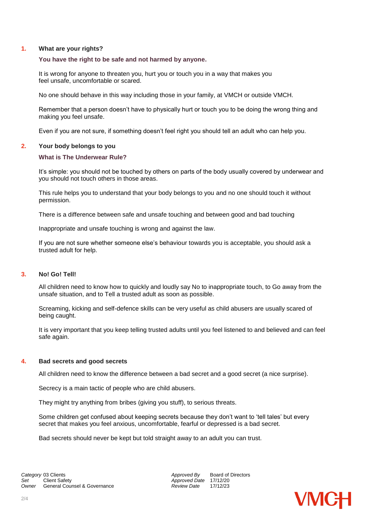# **1. What are your rights?**

# **You have the right to be safe and not harmed by anyone.**

It is wrong for anyone to threaten you, hurt you or touch you in a way that makes you feel unsafe, uncomfortable or scared.

No one should behave in this way including those in your family, at VMCH or outside VMCH.

Remember that a person doesn't have to physically hurt or touch you to be doing the wrong thing and making you feel unsafe.

Even if you are not sure, if something doesn't feel right you should tell an adult who can help you.

# **2. Your body belongs to you**

# **What is The Underwear Rule?**

It's simple: you should not be touched by others on parts of the body usually covered by underwear and you should not touch others in those areas.

This rule helps you to understand that your body belongs to you and no one should touch it without permission.

There is a difference between safe and unsafe touching and between good and bad touching

Inappropriate and unsafe touching is wrong and against the law.

If you are not sure whether someone else's behaviour towards you is acceptable, you should ask a trusted adult for help.

# **3. No! Go! Tell!**

All children need to know how to quickly and loudly say No to inappropriate touch, to Go away from the unsafe situation, and to Tell a trusted adult as soon as possible.

Screaming, kicking and self-defence skills can be very useful as child abusers are usually scared of being caught.

It is very important that you keep telling trusted adults until you feel listened to and believed and can feel safe again.

#### **4. Bad secrets and good secrets**

All children need to know the difference between a bad secret and a good secret (a nice surprise).

Secrecy is a main tactic of people who are child abusers.

They might try anything from bribes (giving you stuff), to serious threats.

Some children get confused about keeping secrets because they don't want to 'tell tales' but every secret that makes you feel anxious, uncomfortable, fearful or depressed is a bad secret.

Bad secrets should never be kept but told straight away to an adult you can trust.

*Approved Date* 17/12/20<br>*Review Date* 17/12/23

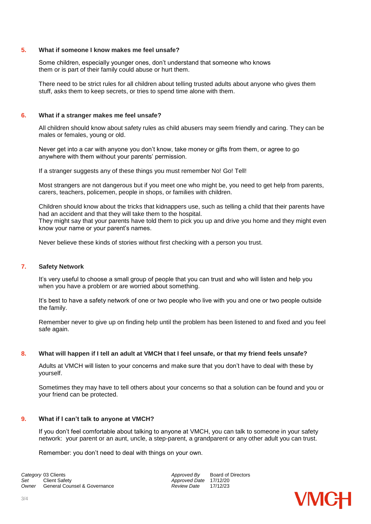#### **5. What if someone I know makes me feel unsafe?**

Some children, especially younger ones, don't understand that someone who knows them or is part of their family could abuse or hurt them.

There need to be strict rules for all children about telling trusted adults about anyone who gives them stuff, asks them to keep secrets, or tries to spend time alone with them.

#### **6. What if a stranger makes me feel unsafe?**

All children should know about safety rules as child abusers may seem friendly and caring. They can be males or females, young or old.

Never get into a car with anyone you don't know, take money or gifts from them, or agree to go anywhere with them without your parents' permission.

If a stranger suggests any of these things you must remember No! Go! Tell!

Most strangers are not dangerous but if you meet one who might be, you need to get help from parents, carers, teachers, policemen, people in shops, or families with children.

Children should know about the tricks that kidnappers use, such as telling a child that their parents have had an accident and that they will take them to the hospital. They might say that your parents have told them to pick you up and drive you home and they might even know your name or your parent's names.

Never believe these kinds of stories without first checking with a person you trust.

#### **7. Safety Network**

It's very useful to choose a small group of people that you can trust and who will listen and help you when you have a problem or are worried about something.

It's best to have a safety network of one or two people who live with you and one or two people outside the family.

Remember never to give up on finding help until the problem has been listened to and fixed and you feel safe again.

#### **8. What will happen if I tell an adult at VMCH that I feel unsafe, or that my friend feels unsafe?**

Adults at VMCH will listen to your concerns and make sure that you don't have to deal with these by yourself.

Sometimes they may have to tell others about your concerns so that a solution can be found and you or your friend can be protected.

#### **9. What if I can't talk to anyone at VMCH?**

If you don't feel comfortable about talking to anyone at VMCH, you can talk to someone in your safety network: your parent or an aunt, uncle, a step-parent, a grandparent or any other adult you can trust.

Remember: you don't need to deal with things on your own.

**Category** 03 Clients **Approved By** Board of Directors *Category* 03 Client Safety **Approved By** Board of Directors *Owner* **General Counsel & Governance** 

*Approved Date* 17/12/20<br>*Review Date* 17/12/23